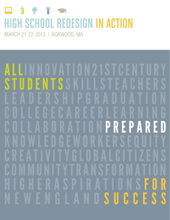

## **HIGH SCHOOL REDESIGN IN ACTION**

MARCH 21-22, 2013 | NORWOOD, MA

ŀ  $\frac{1}{2}$ S S E  $\mathbf{r}$ I  $\begin{array}{c} \text{ } \\ \text{ } \\ \text{ } \end{array}$ I S  $\overline{1}$  $\overline{\mathbb{A}}$ P 6  $\overline{\phantom{a}}$ i  $\overline{\mathbb{A}}$ E  $\mathbf{r}$ H I C  $\begin{array}{c} \n\bullet \\
\bullet \\
\bullet\n\end{array}$ ŀ  $\overline{\phantom{a}}$  $\frac{1}{\sqrt{2}}$  $\frac{1}{\sqrt{2}}$  $\overline{\mathbb{R}}$ P B  $\begin{bmatrix} 1 \\ -1 \end{bmatrix}$  $\begin{array}{c} \n\bullet \\
\bullet \\
\bullet\n\end{array}$  $\begin{array}{c} \n\bullet \\
\bullet \\
\bullet\n\end{array}$  $\begin{array}{c} \n\end{array}$ ł  $\overline{\phantom{a}}$  $\overline{\mathbb{A}}$  $\overline{1}$  $\overline{\mathbf{A}}$ S H R  $\begin{array}{c} \hline \end{array}$  $\overline{\mathbb{A}}$ ŀ  $\overline{\phantom{a}}$ I  $\overline{\mathbb{A}}$  $\overline{a}$ C  $\begin{array}{c} \mathbf{p} \\ \mathbf{p} \end{array}$ ŀ S  $\overline{a}$ C S R Ĥ P R I  $\overline{\phantom{a}}$ I  $\overline{A}$  $\overline{1}$  $\boldsymbol{\zeta}$ S P E R C ŀ U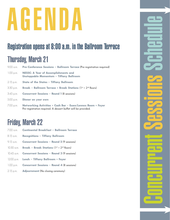# AGENDA

## Registration opens at 8:00 a.m. in the Ballroom Terrace

## Thursday, March 21

| 9:00 a.m.   | Pre-Conference Sessions - Ballroom Terrace (Pre-registration required)                                                        |
|-------------|-------------------------------------------------------------------------------------------------------------------------------|
| 1:00 p.m.   | <b>NESSC: A Year of Accomplishments and</b><br>Unstoppable Momentum - Tiffany Ballroom                                        |
| 2:15 p.m.   | State of the States - Tiffany Ballroom                                                                                        |
| 3:30 p.m.   | Break - Ballroom Terrace + Break Stations (1st + 2nd floors)                                                                  |
| $3:45$ p.m. | <b>Concurrent Sessions - Round 1 (8 sessions)</b>                                                                             |
| 5:00 p.m.   | Dinner on your own                                                                                                            |
| 7:00 p.m.   | Networking Activities + Cash Bar - Essex/Lennox Room + Foyer<br>Pre-registration required. A dessert buffet will be provided. |

## Friday, March 22

| 7:00 a.m. | <b>Continental Breakfast - Ballroom Terrace</b> |  |  |
|-----------|-------------------------------------------------|--|--|
|           |                                                 |  |  |

- 8:15 a.m. **Recognitions Tiffany Ballroom**
- 9:15 a.m. **Concurrent Sessions Round 2 (9 sessions)**
- 10:30 a.m. **Break Break Stations (1st + 2nd floors)**
- 10:45 a.m. **Concurrent Sessions Round 3 (9 sessions)**
- 12:00 p.m. **Lunch Tiffany Ballroom + Foyer**
- 1:00 p.m. **Concurrent Sessions Round 4 (8 sessions)**
- 2:15 p.m. **Adjournment (No closing ceremony)**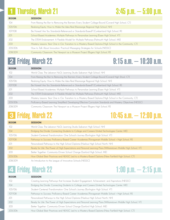## 1 Thursday, March 21 3:45 p.m. – 5:00 p.m.

| <b>ROOM</b> | <b>SESSION</b>                                                                                            |
|-------------|-----------------------------------------------------------------------------------------------------------|
| 104         | From Raising the Bar to Removing the Barriers: Every Student College-Bound [Conard High School, CT]       |
| 105/106     | Realizing Equity: How to Make the Idea Real [Kearsarge Regional High School, NH]                          |
| 107/108     | Be Honest! Are You Standards-Referenced or Standards-Based? [Cumberland High School, RI]                  |
| 201         | School-Based Academies: Multiple Pathways to Personalize Learning [Essex High School, VT]                 |
| 202         | The STEM Endorsement: A Flexible Model for Multiple Pathways [Falmouth High School, ME]                   |
| 203         | Mastery Lessons: Year One in Our Transition to a Mastery-Based Diploma [High School in the Community, CT] |
| 205/206     | How to Talk About Innovation: Practical Messaging Strategies for Schools [NESSC]                          |
| 208/209     | Community Classroom: The Newport as a Museum Project [Rogers High School, RI]                             |

## 2 Friday, March 22 9:15 a.m. – 10:30 a.m.

| <b>ROOM</b> | <b>SESSION</b>                                                                                                  |
|-------------|-----------------------------------------------------------------------------------------------------------------|
| 102         | World Class: The Lebanon NxGL Learning Studio [Lebanon High School, NH]                                         |
| 104         | From Raising the Bar to Removing the Barriers: Every Student College-Bound [Conard High Shool, CT]              |
| 105/106     | Realizing Equity: How to Make the Idea Real [Kearsarge Regional High School, NH]                                |
| 107/108     | Be Honest! Are You Standards-Referenced or Standards-Based? [Cumberland High School, RI]                        |
| 201         | School-Based Academies: Multiple Pathways to Personalize Learning [Essex High School, VT]                       |
| 202         | The STEM Endorsement: A Flexible Model for Multiple Pathways [Falmouth High School, ME]                         |
| 203         | Mastery Lessons: Year One in Our Transition to a Mastery-Based Diploma [High School in the Community, CT]       |
| 205/206     | Proficiency-Based Learning Simplified: Developing Effective Curriculum Standards and Mastery Objectives [NESSC] |
| 208/209     | Community Classroom: The Newport as a Museum Project [Rogers High School, RI]                                   |

|             | <b>3 Friday, March 22</b>                                                                                        | $10:45$ a.m. $-12:00$ p.m. |
|-------------|------------------------------------------------------------------------------------------------------------------|----------------------------|
| <b>ROOM</b> | <b>SESSION</b>                                                                                                   |                            |
| 102         | World Class: The Lebanon NxGL Learning Studio [Lebanon High School, NH]                                          |                            |
| 104         | Bridging the Divide: Connecting Students to College and Careers [United Technologies Center, ME]                 |                            |
| 105/106     | Student-Centered Transformation: One School's Journey [Burlington High School, VT]                               |                            |
| 107/108     | Pathways to Success: Proficiency-Based Career Academies [Ponaganset Middle School + High School, RI]             |                            |
| 201         | Personalized Pathways to the High School Diploma [Nashua High School North, NH]                                  |                            |
| 202         | Ready for Life: The Power of High Expectations and Personal Learning Plans [Williamstown Middle High School, VT] |                            |
| 203         | Better Together: Community-Driven School Change [Sanford High School, ME]                                        |                            |
| 205/206     | How Global Best Practices and NEASC Led to a Mastery-Based Diploma [New Fairfield High School, CT]               |                            |
|             |                                                                                                                  |                            |

208/209 An Introduction to the League of Innovative Schools [NESSC]

## 4 Friday, March 22 1:00 p.m. – 2:15 p.m.

| <b>ROOM</b> | <b>SESSION</b>                                                                                                   |
|-------------|------------------------------------------------------------------------------------------------------------------|
| 102         | Creating Learning Pathways that Increase Student Engagement, Achievement, and Aspirations [NESSC]                |
| 104         | Bridging the Divide: Connecting Students to College and Careers [United Technologies Center, ME]                 |
| 105/106     | Student-Centered Transformation: One School's Journey [Burlington High School, VT]                               |
| 107/108     | Pathways to Success: Proficiency-Based Career Academies [Ponaganset Middle School + High School, RI]             |
| 201         | Personalized Pathways to the High School Diploma [Nashua High School North, NH]                                  |
| 202         | Ready for Life: The Power of High Expectations and Personal Learning Plans [Williamstown Middle High School, VT] |
| 203         | Better Together: Community-Driven School Change [Sanford High School, ME]                                        |
| 205/206     | How Global Best Practices and NEASC Led to a Mastery-Based Diploma [New Fairfield High School, CT]               |
|             |                                                                                                                  |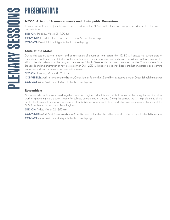Conference welcome, major milestones, and overview of the NESSC with interactive engagement with our latest resources and initiatives.

**SESSION:** Thursday, March 21 | 1:00 p.m.

**CONVENER:** David Ruff (executive director, Great Schools Partnership)

**CONTACT**: David Ruff | druff@greatschoolspartnership.org

#### **State of the States**

**PRESSC: A Year of Accomplishments and Unstoppable Momentum**<br>
Conference welcome, major milestones, and overview of the NESSC with interactive<br>
stars SSSION: Ilursday, March 2111.00 p.m.<br> **CONTACT:** David Ruff levective di During this session, several leaders and commissioners of education from across the NESSC will discuss the current state of secondary-school improvement, including the way in which new and proposed policy changes are aligned with and support the efforts already underway in the League of Innovative Schools. State leaders will also describe how the Common Core State Standards and implementation of new assessments in 2014–2015 will support proficiency-based graduation, personalized learning pathways, and learner-centered accountability systems.

**SESSION:** Thursday, March 21 | 2:15 p.m.

**CONVENERS:** Mark Kostin (associate director, Great Schools Partnership), David Ruff (executive director, Great Schools Partnership) **CONTACT:** Mark Kostin | mkostin@greatschoolspartnership.org

#### **Recognitions**

Numerous individuals have worked together across our region and within each state to advance the thoughtful and important work of graduating more students ready for college, careers, and citizenship. During this session, we will highlight many of the most critical accomplishments and recognize a few individuals who have tirelessly and effectively championed the work of the NESSC in their state and across New England.

**SESSION:** Friday, March 22 | 8:15 a.m.

**CONVENERS:** Mark Kostin (associate director, Great Schools Partnership), David Ruff (executive director, Great Schools Partnership) **CONTACT:** Mark Kostin | mkostin@greatschoolspartnership.org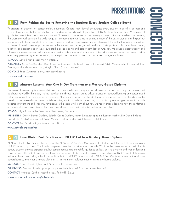#### 12 **From Raising the Bar to Removing the Barriers: Every Student College-Bound**

To prepare all students for postsecondary education, Conard High School encourages every student to enroll in at least one college-level course before graduation. In our diverse and dynamic high school of 1,600 students, more than 75 percent of graduates have taken one or more Advanced Placement or accredited state-university courses. In this multimedia-driven session, the presenters will describe the wide range of interactive, real-world activities and outside-of-the-box strategies that helped our school promote high expectations for every student and increase postsecondary attainment. Exemplar learning expectations, professional development opportunities, and schedule and course designs will be shared. Participants will also learn how parents, teachers, and district leaders have cultivated a college-going and career-confident culture; how the school's accountability and intervention systems support all students and student subgroups; and how research-based models and resources were used to effectively promote higher expectations, more equitable academic success, and increased college enrollments.

**SCHOOL:** Conard High School, West Hartford, CT

**PRESENTERS:** Steve Bassi (teacher), Peter Cummings (principal), Julio Duarte (assistant principal), Kristin Mangini (school counselor), Tom Paleologopoulos (department chair), Marylou Shand (school counselor)

**CONTACT:** Peter Cummings | peter\_cummings@whps.org

#### **www.conard.whps.org**

#### 12 **Mastery Lessons: Year One in Our Transition to a Mastery-Based Diploma**

This session, facilitated by teachers and students, will describe how our unique school—located in the heart of a major urban area and collaboratively led by the faculty—rallied together to embrace mastery-based education, student-centered learning, and personalized instruction to meet the needs of all our students. Although we are only in the initial year of our work, we have already seen the benefits of this system—from more accurately reporting what our students are learning to dramatically enhancing our ability to provide targeted interventions and supports. Participants in this session will learn about how we report student learning, how this is informing our system of supports and interventions, and how student voice and choice is transforming our school.

**SCHOOL:** High School in the Community, New Haven, Connecticut

**PRESENTERS:** Chastity Berrios (student), Solanlly Canas, (student), Lauren Evanovich (special education teacher), Erik Good (building leader), Riley Gibbs (math teacher), Sarah Marchesi (history teacher), Matt Presser (English teacher)

**CONTACT:** Erik Good | erik.good@new-haven.k12.ct.us

**www.schools.nhps.net/hsc**

#### 34 **How Global Best Practices and NEASC Led to a Mastery-Based Diploma**

At New Fairfield High School, the arrival of the NESSC's *Global Best Practices* tool coincided with the start of our mandatory NEASC self-study process. Our faculty completed these two activities simultaneously. What resulted were not only a set of 21stcentury student learning expectations, but comprehensive and thoughtful guidance on how best to structure and support learning in our school. This critical exercise has launched our efforts to implement a mastery-based diploma. Participants in this session will learn how a secondary school can facilitate both a NEASC self-study and a *Global Best Practices* review that leads to a comprehensive, multi-year strategic plan that will result in the implementation of a mastery-based diploma.

**SCHOOL:** New Fairfield High School, New Fairfield, Connecticut

**PRESENTERS:** Mariana Coelho (principal), Cynthia Risch (teacher), Carol Wantman (teacher)

**CONTACT:** Mariana Coelho | mcoelho@new-fairfield.k12.ct.us

**www.newfairfieldschools.org/subsite/nfh**

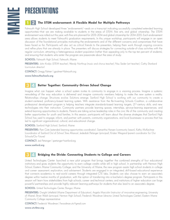

**FIRENTATIONS**<br> **EXENTATIONS**<br> **EXERCISE THE STEM endorsement: A Flexible Model for Multiple Pathways**<br>
Falmouth High School developed three "endorsements"—seals on a transcript indicating successfully<br>
opportunities—that Falmouth High School developed three "endorsements"—seals on a transcript indicating successfully completed extended learning opportunities—that we are making available to students in the areas of STEM, fine arts, and global citizenship. The STEM endorsement was rolled out this year, with fine arts planned for 2013–2014 and global citizenship for 2014–2015. Each endorsement area allows students to meet Falmouth's graduation requirements. In this unique workshop, participants will engage in an open discussion of the foundational principles motivating the endorsements and of the different concerns and compromises that have been faced so far. Participants will also act as critical friends to the presenters, helping them work through ongoing concerns and refine plans that are already in place. The presenters will discuss strategies for connecting outside-of-class activities with the regular curriculum, attracting a heterogeneous student population (rather than appealing only to the top ten percent of students), and ensuring that students who enter the program are passionate about the area of study.

**SCHOOL:** Falmouth High School, Falmouth, Maine

**PRESENTERS:** John Kralijic (STEM teacher), Wendy Northrup (music and chorus teacher), Nisu Seder (art teacher), Cathy Stankard (curriculum director)

**CONTACT:** Gregg Palmer | gpalmer@falmouth.org

**www.falmouthschools.org**

#### 34 **Better Together: Community-Driven School Change**

Imagine what can happen when a school system invites its community to engage in a visioning process. Imagine a systemic remodeling of the way education is delivered and imagine community members helping to make the new system a reality. Relationships change. Structures evolve. Solutions emerge. Sanford High School is working with our community to create a student-centered, proficiency-based learning system. With assistance from the Re-Inventing Schools Coalition, a collaborative professional development program is helping teachers integrate standards-based learning targets, 21<sup>st</sup>-century skills, and new technologies into their instruction. Community partners provide learning spaces, internships, service-learning experiences, and extend-learning opportunities to students. Parents are taking active leadership roles in the civic life of the community and creating better opportunities for youth and families. In this session, participants will learn about the diverse strategies that Sanford High School has used to engage, inform, and partner with parents, community organizations, and local businesses—a process that has led to significant organizational, cultural, and educational change.

**SCHOOL:** Sanford High School, Sanford, Maine

**PRESENTERS:** Pam Cote (extended learning opportunities coordinator), Samantha Hansen (community liaison), Kathy McKechnie (coordinator of Sanford Out of School Time Alliance), Jedediah Petsinger (principal), Kristen Wiegand (parent coordinator for Our Schools/Our Future)

**CONTACT:** Jed Petsinger | jpetsinger@sanford.org

**www.sanford.org**

#### 34 **Bridging the Divide: Connecting Students to College and Careers**

United Technologies Center launched a new pilot program that brings together the combined strengths of four educational institutions and gives students the opportunity to earn college credits while still in high school. In partnership with Hermon High School, Eastern Maine Community College, and the University of Maine, the new program assists high school students in college and career assessment, exploration, and advisement. Students are engaged in an integrated, skill-based educational experience that connects academics to real-world careers through integrated CTE labs. Students can also choose to earn an associate's degree within twelve months of graduation, with the option of transferring into a bachelor's degree program. Participants in this session will learn how stakeholders from high schools, career and technical centers, and institutions of higher education can forge powerful partnerships and provide highly relevant learning pathways for students that also lead to an associate's degree.

**SCHOOL:** United Technologies Center, Bangor, Maine

**PRESENTERS:** Dwight Littlefield (Maine Department of Education), Angela Marcolini (instructor of innovative engineering, University of Maine), Brian Walsh (principal, Hermon High School), Frederick Woodman (director, United Technologies Center), Eastern Maine Community College representative

**CONTACT:** Frederick Woodman | fwoodman.utc@gmail.com

**www.utc4me.org**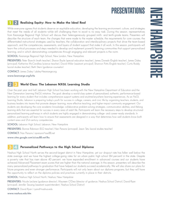#### 12 **Realizing Equity: How to Make the Ideal Real**

While everyone agrees that students deserve an equitable education, developing the learning environment, culture, and strategies that meet the needs of all students—while still challenging them to excel—is no easy task. During this session, representatives from Kearsarge Regional High School will discuss their heterogeneously grouped ninth- and tenth-grade teams. Presenters will describe the structure of each team, the changes that were made to the master schedule, the requirements for core courses, the differentiated instructional strategies used by teachers, the collaboration and interdisciplinary projects that drive the team-based approach, and the competencies, assessments, and layers of student support that make it all work. In this session, participants will learn the critical processes and steps needed to develop and implement powerful learning communities that support personalized learning, and in which demonstrating competencies through engaging and relevant projects is the norm.

**SCHOOL:** Kearsarge Regional High School, New London, New Hampshire

**PRESENTERS:** Peter Bianchi (math teacher), Sharon Boyle (special education teacher), James Doneski (English teacher), James Daley (principal), Katherine McCandless (science teacher), David Miller (assistant principal), Shannon Potts (English teacher), Curtis Roddy (social studies teacher), Beth Stern (guidance counselor)

**CONTACT:** James Daley | jdaley@kearsarge.org

**www.kearsarge.org/krhs**

#### 23 **World Class: The Lebanon NXGL Learning Studio**

Over the past year and half, Lebanon High School has been working with the New Hampshire Department of Education and the Next Generation Learning (NxGL) initiative. The goal: develop a world-class system of personalized, authentic, performance-based learning for every student that includes comprehensive support systems and anytime/anywhere learning experiences. As an NxGL Learning Studio, Lebanon is preparing today's youth for success in college, careers, and civic life by organizing teachers, students, and business leaders into teams that promote deeper learning, more effective teaching, and higher-impact community engagement. Our students are developing the core academic knowledge, collaborative problem-solving strategies, communication abilities, and lifelong learning skills that are essential for success in every area of adult life. Participants will learn the necessary steps to develop structured personalized learning pathways in which students are highly engaged in demonstrating college- and career-ready standards. In addition, participants will learn how to ensure that assessments are designed in a way that determines how well students know both content-area and 21st-century competencies.

**SCHOOL:** Lebanon High School, Lebanon, New Hampshire

**PRESENTERS:** Bonnie Robinson (ELO teacher), Nan Parsons (principal), Jason Tetu (social studies teacher)

**CONTACT:** Nan Parsons | nparsons@sau88.net

**www.sites.google.com/a/sau88.net/lhs**

#### 34 **Personalized Pathways to the High School Diploma**

Nashua High School North serves the second-largest district in New Hampshire, yet our dropout rate has fallen well below the state average and we have the highest college-going rates for an urban public high school (84 percent) in the state. Despite a poverty rate that has risen above 40 percent, we have expanded enrollment in advanced courses and our students have achieved Advanced Placement exam scores that are higher than the national average. In this session, presenters will describe the many personalized pathways to graduation that have helped our students succeed academically. We will also share our plans for future programs and even stronger performance. Participants will not only learn about our diploma programs, but they will have the opportunity to reflect on the diploma policies and practices currently in place in their districts.

**SCHOOL:** Nashua High School North, Nashua, New Hampshire

**PRESENTERS:** Nicole Leclaire (guidance director), Maureen O'Dea (director of guidance, Nashua School District), David Ryan (principal), Jennifer Seusing (assistant superintendent, Nashua School District)

**CONTACT:** David Ryan | ryand@nashua.edu

**www.nashua.edu/nhn**

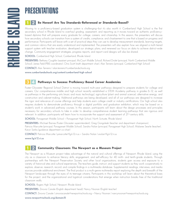**PRESENTERY Are You Standards-Referenced or Standards-Based?**<br>
Moving to a proficiency-based graduation system is challenging—but it's also worth it. Cumbes based diploma that will prepare every graduate for college, coree Moving to a proficiency-based graduation system is challenging—but it's also worth it. Cumberland High School is the first secondary school in Rhode Island to overhaul grading, assessment, and reporting as it moves toward an authentic proficiencybased diploma that will prepare every graduate for college, careers, and citizenship. In this session, the presenters will discuss how secondary schools can transition from a system of credits, compliance, and chastisement to one that is based on progress and performance. Participants will leave with a set of practical steps they can use to develop measurement standards, learning targets, and common rubrics that are easily understood and implemented. The presenters will also explain how we aligned a multi-tiered support system with teacher evaluation, developed our strategic plans, and renewed our focus on data to achieve district-wide change. Community-engagement strategies, progress reports, and report-card designs will also be shared.

**SCHOOL:** Cumberland High School, Cumberland, Rhode Island

**PRESENTERS:** Bethany Coughlin (assistant principal, McCourt Middle School), Richard Drolet (principal, North Cumberland Middle School), James Field (PBIS coordinator), Chris Scott (math department chair), Alan Tenreiro (principal, Cumberland High School)

**CONTACT:** Alan Tenreiro | alan.tenreiro@cumberlandschools.org

**www.cumberlandschools.org/content/cumberland-high-school**

#### 34 **Pathways to Success: Proficiency-Based Career Academies**

Foster-Glocester Regional School District is moving toward multi-year pathways designed to prepare students for college and careers. Our comprehensive middle and high school recently established a STEM Academy pathway in grades 6–12, as well as pathways in the performing arts (music and music technology), agriculture (plant and animal science), alternative energy, and construction and cabinet-making. Additional pathways are being developed, and all of our pathways are designed to increase the rigor and relevance of course offerings and help students earn college credit or industry certifications. Our high school also requires students to demonstrate proficiency through a digital portfolio and graduation exhibition, which may be based on a student's work in advanced pathway courses. In this session, participants will learn about the design processes and principles necessary for secondary schools to take in order to develop comprehensive student learning pathways that are rigorous and relevant. In addition, participants will learn how to incorporate the support and assessment of 21st-century skills.

**SCHOOL:** Ponaganset Middle School + Ponaganset High School, North Scituate, Rhode Island

**PRESENTERS:** Michael Barnes (Foster-Glocester superintendent), Greg Gongoleski (teacher and department chairperson), Patricia Marcotte (principal, Ponaganset Middle School), Sandra Nolan (principal, Ponaganset High School), Malaree Searle (teacher), Karyn Sarkis (guidance department co-chair)

**CONTACT:** Patricia Marcotte | pmarcotte@fg.k12.ri.us + Sandra Nolan | snolan@fg.k12.ri.us

**www.fg.k12.ri.us**

#### 12 **Community Classroom: The Newport as a Museum Project**

The Newport as a Museum project takes advantage of the natural and cultural offerings of Newport, Rhode Island, using the city as a classroom to enhance literacy skills, engagement, and self-efficacy for 40 ninth- and tenth-grade students. Through partnerships with the Newport Preservation Society and other local organizations, students gain access and exposure to a variety of historical sites and cultural experiences. The teachers guide, instruct, and support students as they work cooperatively to explore, observe, research, record, and compile findings in a multimedia database. Supplemental readings, interviews, and media sources provide additional enrichment. The final product is a multi-genre multimedia report exploring the depth and breadth of the Newport landscape through the eyes of its teenage citizens. Participants in this workshop will learn about the theoretical basis for the project, and the organizational and logistical considerations that emerge when instruction breaks free of the traditional classroom walls.

**SCHOOL:** Rogers High School, Newport, Rhode Island

**PRESENTERS:** Zinovia Canale (English department head), Nancy Noonan (English teacher)

**CONTACT:** Zinovia Canale | zinoviacanale@newportrischools.org + Nancy Noonan | nancynoonan@newportrischools.org

**www.newportrischools.org/domain/8**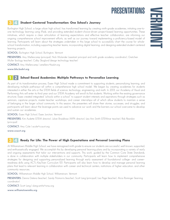#### 34 **Student-Centered Transformation: One School's Journey**

Burlington High School, a large urban high school, has transformed learning by creating ninth-grade academies, initiating one-toone technology learning using iPads, and providing extended student-choice-driven project-based learning opportunities. These initiatives, which require a clear articulation of learning expectations and effective teacher collaboration, are informing our ongoing comprehensive school improvement efforts, as well as our journey toward implementing a proficiency-based model of learning. Participants will learn about the strategies undertaken in this large school to successfully chart the course for wholeschool transformation, including supporting teacher teams, incorporating digital learning, and designing extended student-centered learning projects.

**SCHOOL:** Burlington High School, Burlington, Vermont

**PRESENTERS:** Amy Mellencamp (principal), Nick Molander (assistant principal and ninth grade academy coordinator), Gretchen Muller (biology teacher), Colby Skoglund (design technology teacher)

**CONTACT:** Amy Mellencamp | amellenc@bsdvt.org

**www.bhs.bsdvt.org**

#### 12 **School-Based Academies: Multiple Pathways to Personalize Learning**

As part of its transformation process, Essex High School made a commitment to supporting students, personalizing learning, and developing multiple pathways—all within a comprehensive high school model. We began by creating academies for students interested in either the arts or the STEM fields of science, technology, engineering, and math. In 2013, our Academy of Visual and Performing Arts will enter its third year and our STEM Academy will enroll its first students. Working within the existing governance structure, Essex created integrated "schools within a school" to support student interests and aspirations through strategies such as seminars, capstone projects, master-teacher workshops, and career internships—all of which allow students to maintain a sense of belonging in the larger school community. In this session, the presenters will share their stories, successes, and struggles, and participants will learn about the leverage points we used to advance our work and the barriers our school overcame to develop and sustain our academies.

**SCHOOL:** Essex High School, Essex Junction, Vermont

**PRESENTERS:** Kim Audette (STEM director), Julian Bradshaw (AVPA director), Lea Ann Smith (STEMinar teacher), Rob Reardon (principal)

**CONTACT:** Amy Cole | acole@ccsuvt.org

**www.ccsuvt.org**

#### 34 **Ready For Life: The Power of High Expectations and Personal Learning Plans**

At Williamstown Middle High School, we have reimagined ninth grade to ensure our students are successful, well-known, supported, and enthusiastically engaged. We accomplish this by developing personal learning plans and by incorporating a variety of early and ongoing assessments that tailor our interventions and supports. This work, guided by the Common Core State Standards, is done in collaboration with multiple stakeholders in our community. Participants will learn how to implement comprehensive strategies for designing and supporting personalized learning through early assessment of foundational college- and careerreadiness skills using ACT's KeyTrain Curriculum 101. Participants will also learn how to develop and manage personal learning plans that lead to relevant learning in collaboration with career and technical centers, institutions of higher education, and other community resources.

**SCHOOL:** Williamstown Middle High School, Williamstown, Vermont

**PRESENTERS:** Dennis Delena (teacher), Sandy Fitzmorris (teacher), Scott Lang (principal), Lisa Page (teacher), Alicia Rominger (learning coordinator)

**CONTACT:** Scott Lang | slang.wmhs@onsu.org

**www.williamstownmhs.org**

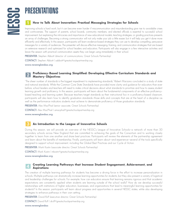#### 1 **How to Talk About Innovation: Practical Messaging Strategies for Schools**

Improving schools is hard work, but it can become even harder if miscommunication and misunderstanding give rise to avoidable crises and controversies. The support of parents, school boards, community members, and elected officials is essential to successful school improvement, but explaining the intricacies and importance of new educational models, teaching strategies, or grading practices presents an array of challenges. Becoming a strong communicator will not only make your job a little easier, but it will help you get it done more efficiently and effectively. In this session, participants will learn evidence-based strategies they can use to develop compelling, persuasive messages for a variety of audiences. The presenter will discuss effective messaging, framing, and communication strategies that are based on extensive research and optimized for school leaders and educators. Participants will also engage in a few interactive activities and leave the session with practical communication assets they can begin using immediately in their school.

**PRESENTER:** Stephen Abbott (director of communications, Great Schools Partnership)

**CONTACT:** Stephen Abbott | sabbott@greatschoolspartnership.org

**www.newenglandssc.org**

#### 2 **Proficiency-Based Learning Simplified: Developing Effective Curriculum Standards and Mastery Objectives**

"The sheer number of standards is the biggest impediment to implementing standards," Robert Marzano concluded in a study of state and national standards. While the Common Core State Standards have provided more clarity and guidance for educators than ever before, school leaders and teachers still need to make critical decisions about what standards to prioritize and how to assess student learning growth and proficiency. In this session, participants will learn about the fundamental components of an effective proficiencybased teaching and learning system. Because teachers target standards as their instructional foci in a proficiency-based classroom, participants will also learn how to identify graduation standards—those skills and concepts that are at the heart of a discipline—as well as the performance indicators students must achieve to demonstrate proficiency of those graduation standards.

**PRESENTER:** Alex MacPhail (senior associate, Great Schools Partnership)

**CONTACT:** Alex MacPhail | amacphail@greatschoolspartnership.org

**www.newenglandssc.org**

#### 3 **An Introduction to the League of Innovative Schools**

During this session, we will provide an overview of the NESSC's League of Innovative Schools—a network of more than 50 secondary schools across New England that are committed to achieving the goals of the Consortium and to working closely together to learn from one another and share best practices. Participants will review the elements of the partnership agreement and learn about the benefits of membership. Finally, participants will learn about—and experience—several of the tools specifically designed to support school improvement, including the Global Best Practices and our Cycle of Action.

**PRESENTER:** Mark Kostin (associate director, Great Schools Partnership)

**CONTACT:** Mark Kostin | mkostin@greatschoolspartnership.org

**www.newenglandssc.org**

#### 4 **Creating Learning Pathways that Increase Student Engagement, Achievement, and Aspirations**

The creation of multiple learning pathways for students has become a driving force in the effort to increase personalization in schools. Multiple pathways can dramatically increase learning opportunities for students, but they also present a variety of logistical and leadership challenges for schools. For example, how can educators ensure that learning remains rigorous and that academic expectations are consistently applied when students are learning outside of the school walls? How do we develop successful relationships with institutions of higher education, businesses, and organizations that lead to meaningful learning opportunities for students? In this session, participants will learn about progress and opportunities in several NESSC states, while also developing strategies to enhance pathways in their own setting.

**PRESENTER:** David Ruff (executive director, Great Schools Partnership)

**CONTACT:** David Ruff | druff@greatschoolspartnership.org

**www.newenglandssc**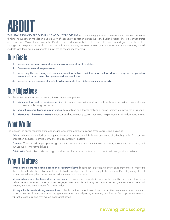## ABOUT

**THE NEW ENGLAND SECONDARY SCHOOL CONSORTIUM** is a pioneering partnership committed to fostering forwardthinking innovations in the design and delivery of secondary education across the New England region. The five partner states of Connecticut, Maine, New Hampshire, Rhode Island, and Vermont believe that our bold vision, shared goals, and innovative strategies will empower us to close persistent achievement gaps, promote greater educational equity and opportunity for all students, and lead our educators into a new era of secondary schooling.

## Our Goals

- **1. Increasing five-year graduation rates across each of our five states.**
- **2. Decreasing annual dropout rates.**
- **3. Increasing the percentage of students enrolling in two- and four-year college degree programs or pursuing accredited, industry-certified postsecondary certificates.**
- **4. Increase the percentage of students who graduate from high school college-ready.**

## Our Objectives

Our five states are committed to pursuing three long-term objectives:

- **1. Diplomas that certify readiness for life:** High school graduation decisions that are based on students demonstrating proficiency on learning standards.
- **2. Student-centered learning opportunities:** Personalized and flexible proficiency-based learning pathways for all students.
- **3. Measuring what matters most:** Learner-centered accountability systems that utilize multiple measures of student achievement.

## What We Do

The Consortium brings together state leaders and educators together to pursue three overarching strategies:

**Policy:** Advance a state-led policy agenda focused on three critical, high-leverage areas of schooling in the 21<sup>st</sup> century: graduation decisions, learning pathways, and accountability systems.

**Practice:** Connect and support practicing educators across states through networking activities, best-practice exchange, and our League of Innovative Schools.

**Public Will:** Build public understanding of and support for more innovative approaches to educating today's students.

## Why It Matters

**Strong schools are the best job-creation program we have.** Imagination, expertise, creativity, entrepreneurialism—these are the assets that drive innovation, create new industries, and produce the most sought-after workers. Preparing every student for success will strengthen our economy and empower our communities.

**Strong schools are the foundation of our society.** Democracy, opportunity, prosperity, equality—the values that have defined America—depend on an informed, engaged, well-educated citizenry. To prepare the next generation of citizens and leaders, we need great schools for every student.

Strong schools create strong communities. Schools are the cornerstones of our communities. We celebrate our students, cheer on our local teams, and welcome graduates into our workplaces, institutions, and families. To keep our communities vibrant, prosperous, and thriving, we need great schools.

### **newenglandssc.org**